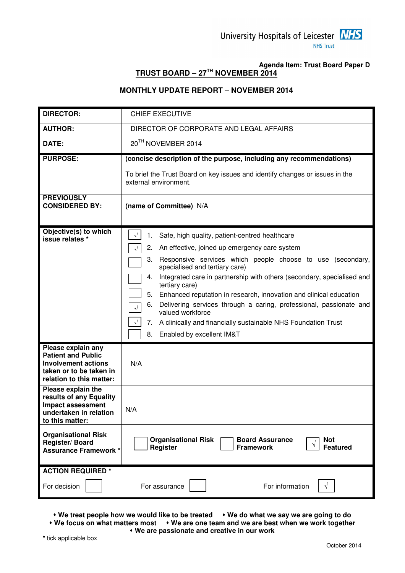

## **Agenda Item: Trust Board Paper D TRUST BOARD – 27TH NOVEMBER 2014**

## **MONTHLY UPDATE REPORT – NOVEMBER 2014**

| <b>DIRECTOR:</b>                                                                                                                     | <b>CHIEF EXECUTIVE</b>                                                                                                                               |
|--------------------------------------------------------------------------------------------------------------------------------------|------------------------------------------------------------------------------------------------------------------------------------------------------|
| <b>AUTHOR:</b>                                                                                                                       | DIRECTOR OF CORPORATE AND LEGAL AFFAIRS                                                                                                              |
| DATE:                                                                                                                                | 20TH NOVEMBER 2014                                                                                                                                   |
| <b>PURPOSE:</b>                                                                                                                      | (concise description of the purpose, including any recommendations)                                                                                  |
|                                                                                                                                      | To brief the Trust Board on key issues and identify changes or issues in the<br>external environment.                                                |
| <b>PREVIOUSLY</b><br><b>CONSIDERED BY:</b>                                                                                           | (name of Committee) N/A                                                                                                                              |
| Objective(s) to which<br>issue relates *                                                                                             | ٦L<br>Safe, high quality, patient-centred healthcare<br>1.                                                                                           |
|                                                                                                                                      | 2.<br>An effective, joined up emergency care system<br>$\sqrt{ }$                                                                                    |
|                                                                                                                                      | Responsive services which people choose to use (secondary,<br>3.<br>specialised and tertiary care)                                                   |
|                                                                                                                                      | Integrated care in partnership with others (secondary, specialised and<br>4.                                                                         |
|                                                                                                                                      | tertiary care)                                                                                                                                       |
|                                                                                                                                      | 5.<br>Enhanced reputation in research, innovation and clinical education<br>Delivering services through a caring, professional, passionate and<br>6. |
|                                                                                                                                      | $\sqrt{ }$<br>valued workforce                                                                                                                       |
|                                                                                                                                      | A clinically and financially sustainable NHS Foundation Trust<br>7.<br>$\sqrt{ }$                                                                    |
|                                                                                                                                      | 8.<br>Enabled by excellent IM&T                                                                                                                      |
| Please explain any<br><b>Patient and Public</b><br><b>Involvement actions</b><br>taken or to be taken in<br>relation to this matter: | N/A                                                                                                                                                  |
| Please explain the<br>results of any Equality<br><b>Impact assessment</b><br>undertaken in relation<br>to this matter:               | N/A                                                                                                                                                  |
| <b>Organisational Risk</b><br>Register/Board<br><b>Assurance Framework *</b>                                                         | <b>Organisational Risk</b><br><b>Board Assurance</b><br><b>Not</b><br><b>Register</b><br><b>Featured</b><br><b>Framework</b>                         |
| <b>ACTION REQUIRED *</b>                                                                                                             |                                                                                                                                                      |
| For decision                                                                                                                         | For information<br>For assurance                                                                                                                     |

• We treat people how we would like to be treated • We do what we say we are going to do  **We focus on what matters most We are one team and we are best when we work together We are passionate and creative in our work** 

**\*** tick applicable box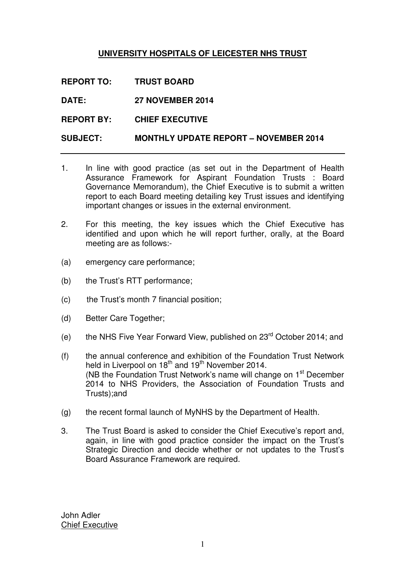## **UNIVERSITY HOSPITALS OF LEICESTER NHS TRUST**

**REPORT TO: TRUST BOARD** 

**DATE: 27 NOVEMBER 2014** 

**REPORT BY: CHIEF EXECUTIVE** 

## **SUBJECT: MONTHLY UPDATE REPORT – NOVEMBER 2014**

- 1. In line with good practice (as set out in the Department of Health Assurance Framework for Aspirant Foundation Trusts : Board Governance Memorandum), the Chief Executive is to submit a written report to each Board meeting detailing key Trust issues and identifying important changes or issues in the external environment.
- 2. For this meeting, the key issues which the Chief Executive has identified and upon which he will report further, orally, at the Board meeting are as follows:-
- (a) emergency care performance;
- (b) the Trust's RTT performance;
- (c) the Trust's month 7 financial position;
- (d) Better Care Together;
- (e) the NHS Five Year Forward View, published on  $23<sup>rd</sup>$  October 2014; and
- (f) the annual conference and exhibition of the Foundation Trust Network held in Liverpool on  $18<sup>th</sup>$  and  $19<sup>th</sup>$  November 2014. (NB the Foundation Trust Network's name will change on 1<sup>st</sup> December 2014 to NHS Providers, the Association of Foundation Trusts and Trusts);and
- (g) the recent formal launch of MyNHS by the Department of Health.
- 3. The Trust Board is asked to consider the Chief Executive's report and, again, in line with good practice consider the impact on the Trust's Strategic Direction and decide whether or not updates to the Trust's Board Assurance Framework are required.

John Adler Chief Executive